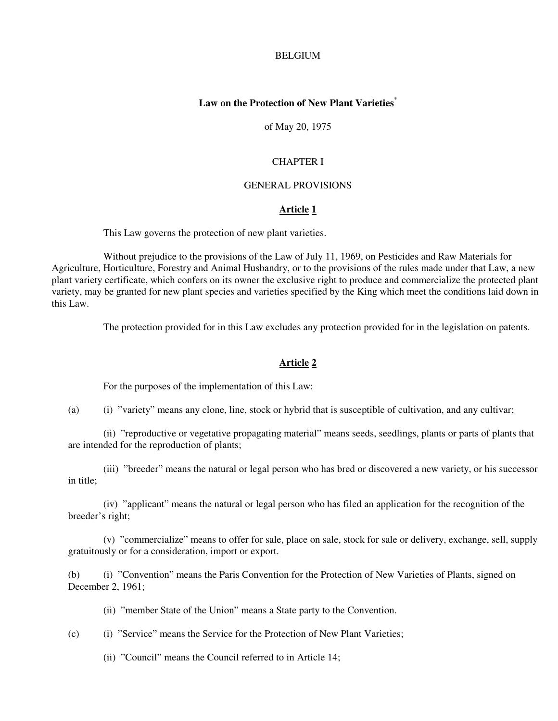#### BELGIUM

## **Law on the Protection of New Plant Varieties**\*

of May 20, 1975

#### CHAPTER I

### GENERAL PROVISIONS

### **Article 1**

This Law governs the protection of new plant varieties.

 Without prejudice to the provisions of the Law of July 11, 1969, on Pesticides and Raw Materials for Agriculture, Horticulture, Forestry and Animal Husbandry, or to the provisions of the rules made under that Law, a new plant variety certificate, which confers on its owner the exclusive right to produce and commercialize the protected plant variety, may be granted for new plant species and varieties specified by the King which meet the conditions laid down in this Law.

The protection provided for in this Law excludes any protection provided for in the legislation on patents.

#### **Article 2**

For the purposes of the implementation of this Law:

(a) (i) "variety" means any clone, line, stock or hybrid that is susceptible of cultivation, and any cultivar;

 (ii) "reproductive or vegetative propagating material" means seeds, seedlings, plants or parts of plants that are intended for the reproduction of plants;

 (iii) "breeder" means the natural or legal person who has bred or discovered a new variety, or his successor in title;

 (iv) "applicant" means the natural or legal person who has filed an application for the recognition of the breeder's right;

 (v) "commercialize" means to offer for sale, place on sale, stock for sale or delivery, exchange, sell, supply gratuitously or for a consideration, import or export.

 (b) (i) "Convention" means the Paris Convention for the Protection of New Varieties of Plants, signed on December 2, 1961;

(ii) "member State of the Union" means a State party to the Convention.

(c) (i) "Service" means the Service for the Protection of New Plant Varieties;

(ii) "Council" means the Council referred to in Article 14;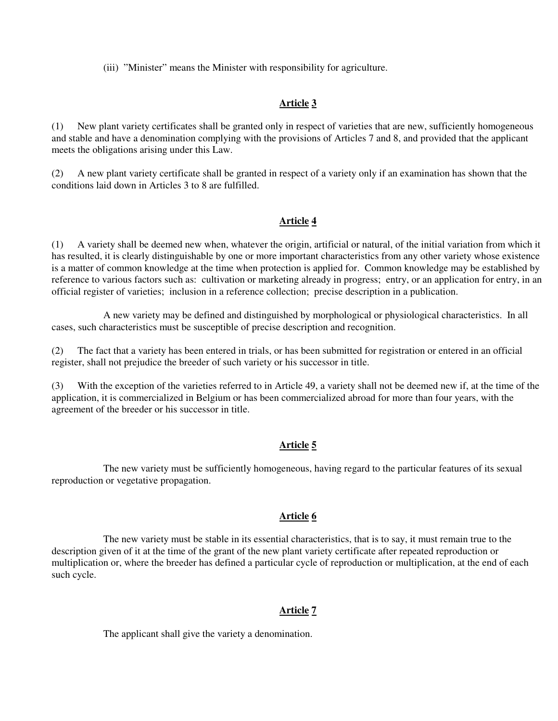(iii) "Minister" means the Minister with responsibility for agriculture.

## **Article 3**

(1) New plant variety certificates shall be granted only in respect of varieties that are new, sufficiently homogeneous and stable and have a denomination complying with the provisions of Articles 7 and 8, and provided that the applicant meets the obligations arising under this Law.

(2) A new plant variety certificate shall be granted in respect of a variety only if an examination has shown that the conditions laid down in Articles 3 to 8 are fulfilled.

## **Article 4**

(1) A variety shall be deemed new when, whatever the origin, artificial or natural, of the initial variation from which it has resulted, it is clearly distinguishable by one or more important characteristics from any other variety whose existence is a matter of common knowledge at the time when protection is applied for. Common knowledge may be established by reference to various factors such as: cultivation or marketing already in progress; entry, or an application for entry, in an official register of varieties; inclusion in a reference collection; precise description in a publication.

 A new variety may be defined and distinguished by morphological or physiological characteristics. In all cases, such characteristics must be susceptible of precise description and recognition.

(2) The fact that a variety has been entered in trials, or has been submitted for registration or entered in an official register, shall not prejudice the breeder of such variety or his successor in title.

(3) With the exception of the varieties referred to in Article 49, a variety shall not be deemed new if, at the time of the application, it is commercialized in Belgium or has been commercialized abroad for more than four years, with the agreement of the breeder or his successor in title.

## **Article 5**

 The new variety must be sufficiently homogeneous, having regard to the particular features of its sexual reproduction or vegetative propagation.

# **Article 6**

 The new variety must be stable in its essential characteristics, that is to say, it must remain true to the description given of it at the time of the grant of the new plant variety certificate after repeated reproduction or multiplication or, where the breeder has defined a particular cycle of reproduction or multiplication, at the end of each such cycle.

# **Article 7**

The applicant shall give the variety a denomination.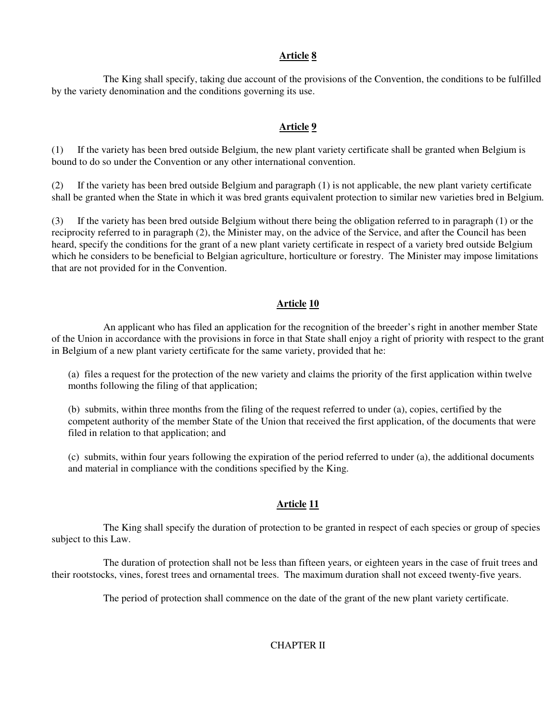The King shall specify, taking due account of the provisions of the Convention, the conditions to be fulfilled by the variety denomination and the conditions governing its use.

## **Article 9**

(1) If the variety has been bred outside Belgium, the new plant variety certificate shall be granted when Belgium is bound to do so under the Convention or any other international convention.

(2) If the variety has been bred outside Belgium and paragraph (1) is not applicable, the new plant variety certificate shall be granted when the State in which it was bred grants equivalent protection to similar new varieties bred in Belgium.

(3) If the variety has been bred outside Belgium without there being the obligation referred to in paragraph (1) or the reciprocity referred to in paragraph (2), the Minister may, on the advice of the Service, and after the Council has been heard, specify the conditions for the grant of a new plant variety certificate in respect of a variety bred outside Belgium which he considers to be beneficial to Belgian agriculture, horticulture or forestry. The Minister may impose limitations that are not provided for in the Convention.

## **Article 10**

 An applicant who has filed an application for the recognition of the breeder's right in another member State of the Union in accordance with the provisions in force in that State shall enjoy a right of priority with respect to the grant in Belgium of a new plant variety certificate for the same variety, provided that he:

 (a) files a request for the protection of the new variety and claims the priority of the first application within twelve months following the filing of that application;

 (b) submits, within three months from the filing of the request referred to under (a), copies, certified by the competent authority of the member State of the Union that received the first application, of the documents that were filed in relation to that application; and

 (c) submits, within four years following the expiration of the period referred to under (a), the additional documents and material in compliance with the conditions specified by the King.

## **Article 11**

 The King shall specify the duration of protection to be granted in respect of each species or group of species subject to this Law.

 The duration of protection shall not be less than fifteen years, or eighteen years in the case of fruit trees and their rootstocks, vines, forest trees and ornamental trees. The maximum duration shall not exceed twenty-five years.

The period of protection shall commence on the date of the grant of the new plant variety certificate.

CHAPTER II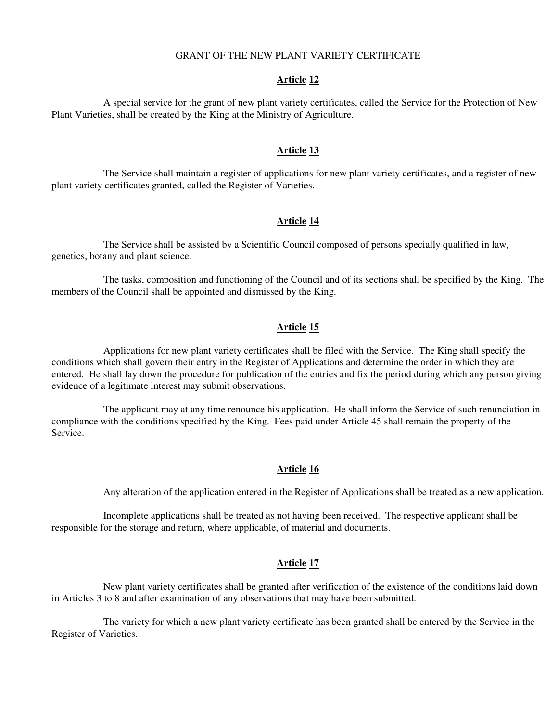### GRANT OF THE NEW PLANT VARIETY CERTIFICATE

#### **Article 12**

 A special service for the grant of new plant variety certificates, called the Service for the Protection of New Plant Varieties, shall be created by the King at the Ministry of Agriculture.

## **Article 13**

 The Service shall maintain a register of applications for new plant variety certificates, and a register of new plant variety certificates granted, called the Register of Varieties.

### **Article 14**

 The Service shall be assisted by a Scientific Council composed of persons specially qualified in law, genetics, botany and plant science.

 The tasks, composition and functioning of the Council and of its sections shall be specified by the King. The members of the Council shall be appointed and dismissed by the King.

## **Article 15**

 Applications for new plant variety certificates shall be filed with the Service. The King shall specify the conditions which shall govern their entry in the Register of Applications and determine the order in which they are entered. He shall lay down the procedure for publication of the entries and fix the period during which any person giving evidence of a legitimate interest may submit observations.

 The applicant may at any time renounce his application. He shall inform the Service of such renunciation in compliance with the conditions specified by the King. Fees paid under Article 45 shall remain the property of the Service.

## **Article 16**

Any alteration of the application entered in the Register of Applications shall be treated as a new application.

 Incomplete applications shall be treated as not having been received. The respective applicant shall be responsible for the storage and return, where applicable, of material and documents.

## **Article 17**

 New plant variety certificates shall be granted after verification of the existence of the conditions laid down in Articles 3 to 8 and after examination of any observations that may have been submitted.

 The variety for which a new plant variety certificate has been granted shall be entered by the Service in the Register of Varieties.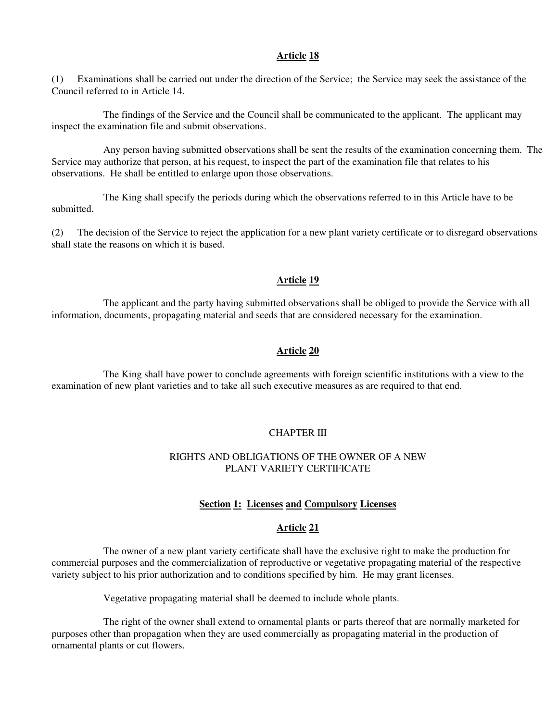(1) Examinations shall be carried out under the direction of the Service; the Service may seek the assistance of the Council referred to in Article 14.

 The findings of the Service and the Council shall be communicated to the applicant. The applicant may inspect the examination file and submit observations.

 Any person having submitted observations shall be sent the results of the examination concerning them. The Service may authorize that person, at his request, to inspect the part of the examination file that relates to his observations. He shall be entitled to enlarge upon those observations.

 The King shall specify the periods during which the observations referred to in this Article have to be submitted.

(2) The decision of the Service to reject the application for a new plant variety certificate or to disregard observations shall state the reasons on which it is based.

## **Article 19**

 The applicant and the party having submitted observations shall be obliged to provide the Service with all information, documents, propagating material and seeds that are considered necessary for the examination.

## **Article 20**

 The King shall have power to conclude agreements with foreign scientific institutions with a view to the examination of new plant varieties and to take all such executive measures as are required to that end.

#### CHAPTER III

## RIGHTS AND OBLIGATIONS OF THE OWNER OF A NEW PLANT VARIETY CERTIFICATE

#### **Section 1: Licenses and Compulsory Licenses**

### **Article 21**

 The owner of a new plant variety certificate shall have the exclusive right to make the production for commercial purposes and the commercialization of reproductive or vegetative propagating material of the respective variety subject to his prior authorization and to conditions specified by him. He may grant licenses.

Vegetative propagating material shall be deemed to include whole plants.

 The right of the owner shall extend to ornamental plants or parts thereof that are normally marketed for purposes other than propagation when they are used commercially as propagating material in the production of ornamental plants or cut flowers.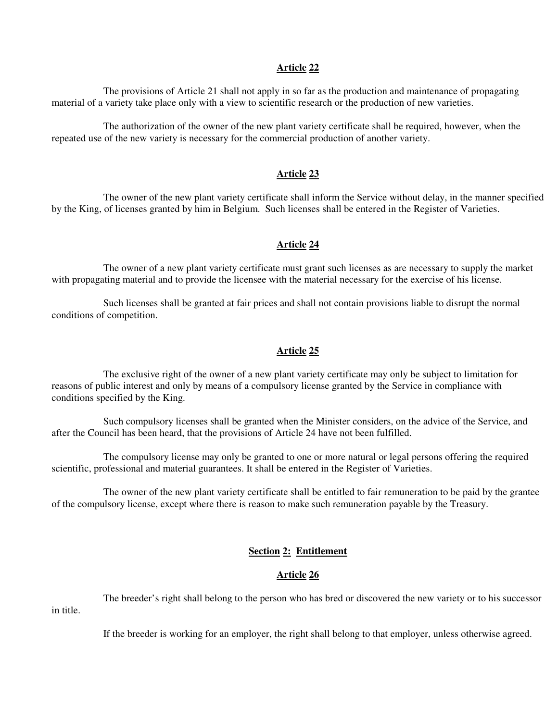The provisions of Article 21 shall not apply in so far as the production and maintenance of propagating material of a variety take place only with a view to scientific research or the production of new varieties.

 The authorization of the owner of the new plant variety certificate shall be required, however, when the repeated use of the new variety is necessary for the commercial production of another variety.

### **Article 23**

 The owner of the new plant variety certificate shall inform the Service without delay, in the manner specified by the King, of licenses granted by him in Belgium. Such licenses shall be entered in the Register of Varieties.

#### **Article 24**

 The owner of a new plant variety certificate must grant such licenses as are necessary to supply the market with propagating material and to provide the licensee with the material necessary for the exercise of his license.

 Such licenses shall be granted at fair prices and shall not contain provisions liable to disrupt the normal conditions of competition.

# **Article 25**

 The exclusive right of the owner of a new plant variety certificate may only be subject to limitation for reasons of public interest and only by means of a compulsory license granted by the Service in compliance with conditions specified by the King.

 Such compulsory licenses shall be granted when the Minister considers, on the advice of the Service, and after the Council has been heard, that the provisions of Article 24 have not been fulfilled.

 The compulsory license may only be granted to one or more natural or legal persons offering the required scientific, professional and material guarantees. It shall be entered in the Register of Varieties.

 The owner of the new plant variety certificate shall be entitled to fair remuneration to be paid by the grantee of the compulsory license, except where there is reason to make such remuneration payable by the Treasury.

## **Section 2: Entitlement**

#### **Article 26**

 The breeder's right shall belong to the person who has bred or discovered the new variety or to his successor in title.

If the breeder is working for an employer, the right shall belong to that employer, unless otherwise agreed.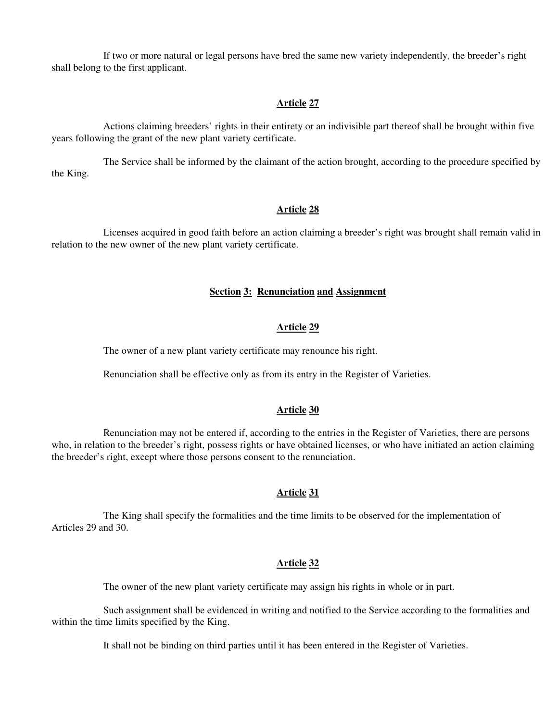If two or more natural or legal persons have bred the same new variety independently, the breeder's right shall belong to the first applicant.

## **Article 27**

 Actions claiming breeders' rights in their entirety or an indivisible part thereof shall be brought within five years following the grant of the new plant variety certificate.

 The Service shall be informed by the claimant of the action brought, according to the procedure specified by the King.

#### **Article 28**

 Licenses acquired in good faith before an action claiming a breeder's right was brought shall remain valid in relation to the new owner of the new plant variety certificate.

# **Section 3: Renunciation and Assignment**

### **Article 29**

The owner of a new plant variety certificate may renounce his right.

Renunciation shall be effective only as from its entry in the Register of Varieties.

### **Article 30**

 Renunciation may not be entered if, according to the entries in the Register of Varieties, there are persons who, in relation to the breeder's right, possess rights or have obtained licenses, or who have initiated an action claiming the breeder's right, except where those persons consent to the renunciation.

#### **Article 31**

 The King shall specify the formalities and the time limits to be observed for the implementation of Articles 29 and 30.

## **Article 32**

The owner of the new plant variety certificate may assign his rights in whole or in part.

 Such assignment shall be evidenced in writing and notified to the Service according to the formalities and within the time limits specified by the King.

It shall not be binding on third parties until it has been entered in the Register of Varieties.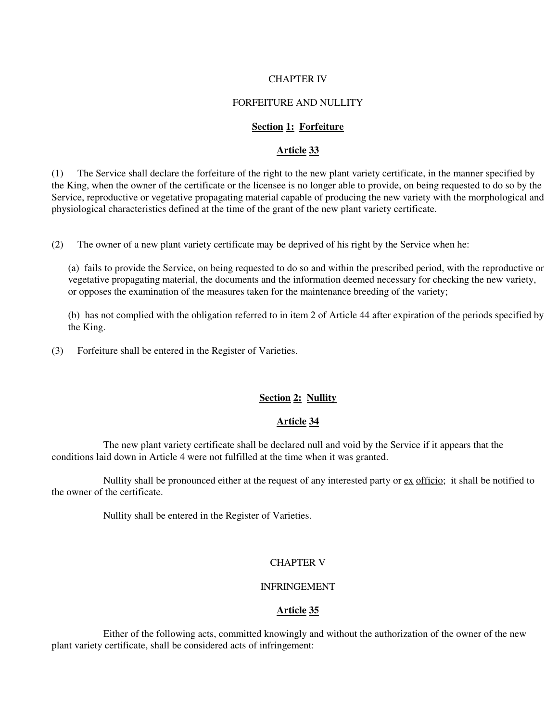#### CHAPTER IV

### FORFEITURE AND NULLITY

### **Section 1: Forfeiture**

## **Article 33**

(1) The Service shall declare the forfeiture of the right to the new plant variety certificate, in the manner specified by the King, when the owner of the certificate or the licensee is no longer able to provide, on being requested to do so by the Service, reproductive or vegetative propagating material capable of producing the new variety with the morphological and physiological characteristics defined at the time of the grant of the new plant variety certificate.

(2) The owner of a new plant variety certificate may be deprived of his right by the Service when he:

 (a) fails to provide the Service, on being requested to do so and within the prescribed period, with the reproductive or vegetative propagating material, the documents and the information deemed necessary for checking the new variety, or opposes the examination of the measures taken for the maintenance breeding of the variety;

 (b) has not complied with the obligation referred to in item 2 of Article 44 after expiration of the periods specified by the King.

(3) Forfeiture shall be entered in the Register of Varieties.

## **Section 2: Nullity**

## **Article 34**

 The new plant variety certificate shall be declared null and void by the Service if it appears that the conditions laid down in Article 4 were not fulfilled at the time when it was granted.

 Nullity shall be pronounced either at the request of any interested party or ex officio; it shall be notified to the owner of the certificate.

Nullity shall be entered in the Register of Varieties.

### CHAPTER V

### INFRINGEMENT

#### **Article 35**

 Either of the following acts, committed knowingly and without the authorization of the owner of the new plant variety certificate, shall be considered acts of infringement: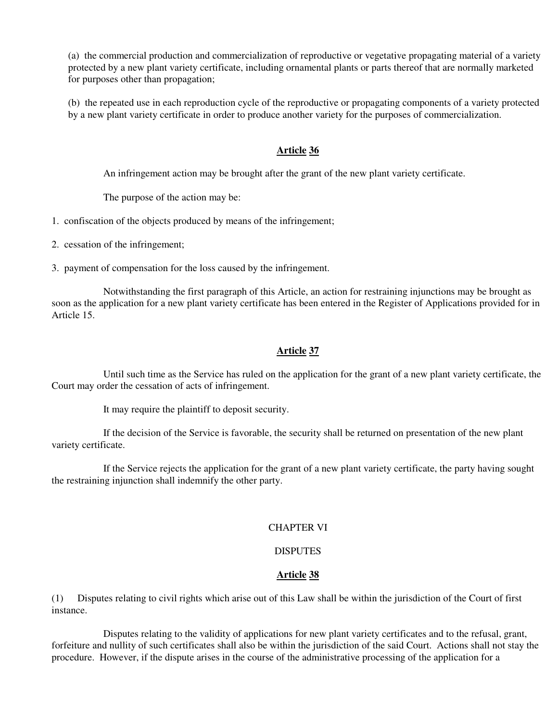(a) the commercial production and commercialization of reproductive or vegetative propagating material of a variety protected by a new plant variety certificate, including ornamental plants or parts thereof that are normally marketed for purposes other than propagation;

 (b) the repeated use in each reproduction cycle of the reproductive or propagating components of a variety protected by a new plant variety certificate in order to produce another variety for the purposes of commercialization.

## **Article 36**

An infringement action may be brought after the grant of the new plant variety certificate.

The purpose of the action may be:

1. confiscation of the objects produced by means of the infringement;

- 2. cessation of the infringement;
- 3. payment of compensation for the loss caused by the infringement.

 Notwithstanding the first paragraph of this Article, an action for restraining injunctions may be brought as soon as the application for a new plant variety certificate has been entered in the Register of Applications provided for in Article 15.

# **Article 37**

 Until such time as the Service has ruled on the application for the grant of a new plant variety certificate, the Court may order the cessation of acts of infringement.

It may require the plaintiff to deposit security.

 If the decision of the Service is favorable, the security shall be returned on presentation of the new plant variety certificate.

 If the Service rejects the application for the grant of a new plant variety certificate, the party having sought the restraining injunction shall indemnify the other party.

# CHAPTER VI

# **DISPUTES**

# **Article 38**

(1) Disputes relating to civil rights which arise out of this Law shall be within the jurisdiction of the Court of first instance.

 Disputes relating to the validity of applications for new plant variety certificates and to the refusal, grant, forfeiture and nullity of such certificates shall also be within the jurisdiction of the said Court. Actions shall not stay the procedure. However, if the dispute arises in the course of the administrative processing of the application for a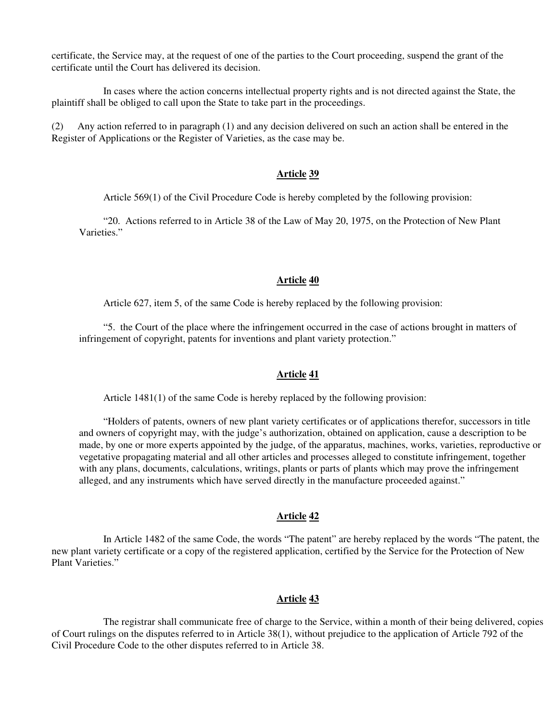certificate, the Service may, at the request of one of the parties to the Court proceeding, suspend the grant of the certificate until the Court has delivered its decision.

 In cases where the action concerns intellectual property rights and is not directed against the State, the plaintiff shall be obliged to call upon the State to take part in the proceedings.

(2) Any action referred to in paragraph (1) and any decision delivered on such an action shall be entered in the Register of Applications or the Register of Varieties, as the case may be.

#### **Article 39**

Article 569(1) of the Civil Procedure Code is hereby completed by the following provision:

 "20. Actions referred to in Article 38 of the Law of May 20, 1975, on the Protection of New Plant Varieties"

### **Article 40**

Article 627, item 5, of the same Code is hereby replaced by the following provision:

 "5. the Court of the place where the infringement occurred in the case of actions brought in matters of infringement of copyright, patents for inventions and plant variety protection."

#### **Article 41**

Article 1481(1) of the same Code is hereby replaced by the following provision:

 "Holders of patents, owners of new plant variety certificates or of applications therefor, successors in title and owners of copyright may, with the judge's authorization, obtained on application, cause a description to be made, by one or more experts appointed by the judge, of the apparatus, machines, works, varieties, reproductive or vegetative propagating material and all other articles and processes alleged to constitute infringement, together with any plans, documents, calculations, writings, plants or parts of plants which may prove the infringement alleged, and any instruments which have served directly in the manufacture proceeded against."

## **Article 42**

 In Article 1482 of the same Code, the words "The patent" are hereby replaced by the words "The patent, the new plant variety certificate or a copy of the registered application, certified by the Service for the Protection of New Plant Varieties."

## **Article 43**

 The registrar shall communicate free of charge to the Service, within a month of their being delivered, copies of Court rulings on the disputes referred to in Article 38(1), without prejudice to the application of Article 792 of the Civil Procedure Code to the other disputes referred to in Article 38.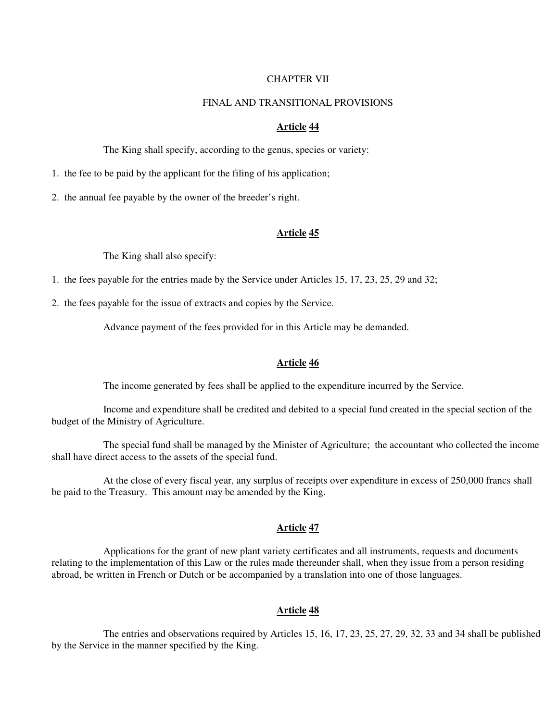#### CHAPTER VII

### FINAL AND TRANSITIONAL PROVISIONS

#### **Article 44**

The King shall specify, according to the genus, species or variety:

1. the fee to be paid by the applicant for the filing of his application;

2. the annual fee payable by the owner of the breeder's right.

#### **Article 45**

The King shall also specify:

1. the fees payable for the entries made by the Service under Articles 15, 17, 23, 25, 29 and 32;

2. the fees payable for the issue of extracts and copies by the Service.

Advance payment of the fees provided for in this Article may be demanded.

#### **Article 46**

The income generated by fees shall be applied to the expenditure incurred by the Service.

 Income and expenditure shall be credited and debited to a special fund created in the special section of the budget of the Ministry of Agriculture.

 The special fund shall be managed by the Minister of Agriculture; the accountant who collected the income shall have direct access to the assets of the special fund.

 At the close of every fiscal year, any surplus of receipts over expenditure in excess of 250,000 francs shall be paid to the Treasury. This amount may be amended by the King.

#### **Article 47**

 Applications for the grant of new plant variety certificates and all instruments, requests and documents relating to the implementation of this Law or the rules made thereunder shall, when they issue from a person residing abroad, be written in French or Dutch or be accompanied by a translation into one of those languages.

#### **Article 48**

 The entries and observations required by Articles 15, 16, 17, 23, 25, 27, 29, 32, 33 and 34 shall be published by the Service in the manner specified by the King.